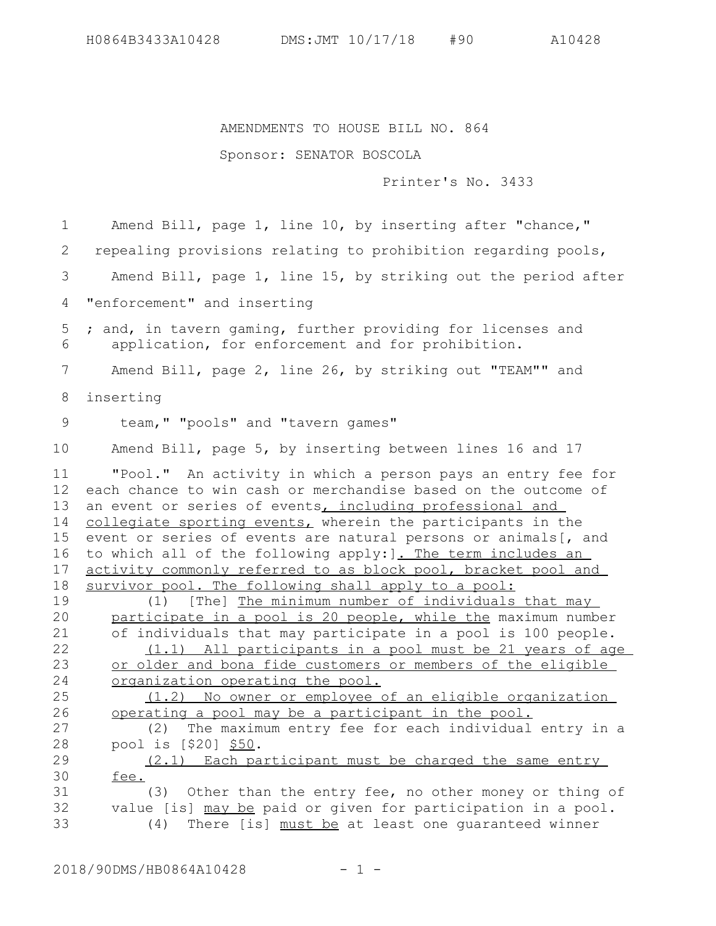## AMENDMENTS TO HOUSE BILL NO. 864

## Sponsor: SENATOR BOSCOLA

Printer's No. 3433

Amend Bill, page 1, line 10, by inserting after "chance," repealing provisions relating to prohibition regarding pools, Amend Bill, page 1, line 15, by striking out the period after "enforcement" and inserting ; and, in tavern gaming, further providing for licenses and application, for enforcement and for prohibition. Amend Bill, page 2, line 26, by striking out "TEAM"" and inserting team," "pools" and "tavern games" Amend Bill, page 5, by inserting between lines 16 and 17 "Pool." An activity in which a person pays an entry fee for each chance to win cash or merchandise based on the outcome of an event or series of events, including professional and collegiate sporting events, wherein the participants in the event or series of events are natural persons or animals[, and to which all of the following apply: ]. The term includes an activity commonly referred to as block pool, bracket pool and survivor pool. The following shall apply to a pool: (1) [The] The minimum number of individuals that may participate in a pool is 20 people, while the maximum number of individuals that may participate in a pool is 100 people. (1.1) All participants in a pool must be 21 years of age or older and bona fide customers or members of the eligible organization operating the pool. (1.2) No owner or employee of an eligible organization operating a pool may be a participant in the pool. (2) The maximum entry fee for each individual entry in a pool is [\$20] \$50. (2.1) Each participant must be charged the same entry fee. (3) Other than the entry fee, no other money or thing of value [is] may be paid or given for participation in a pool. (4) There [is] must be at least one guaranteed winner 1 2 3 4 5 6 7 8 9 10 11 12 13 14 15 16 17 18 19 20 21 22 23 24 25 26 27 28 29 30 31 32 33